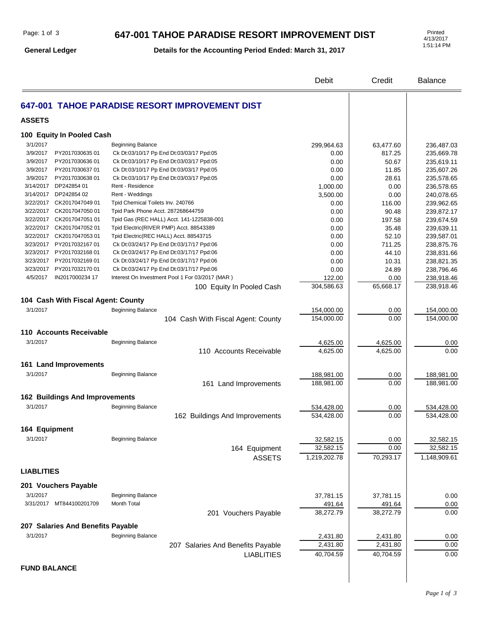#### **647-001 TAHOE PARADISE RESORT IMPROVEMENT DIST**

**General Ledger**

**Details for the Accounting Period Ended: March 31, 2017**

4/13/2017 1:51:14 PM

|                                       |                                                 | Debit                    | Credit       | <b>Balance</b>           |
|---------------------------------------|-------------------------------------------------|--------------------------|--------------|--------------------------|
|                                       | 647-001 TAHOE PARADISE RESORT IMPROVEMENT DIST  |                          |              |                          |
| <b>ASSETS</b>                         |                                                 |                          |              |                          |
| 100 Equity In Pooled Cash             |                                                 |                          |              |                          |
| 3/1/2017                              | <b>Beginning Balance</b>                        | 299,964.63               | 63,477.60    | 236,487.03               |
| 3/9/2017<br>PY201703063501            | Ck Dt:03/10/17 Pp End Dt:03/03/17 Ppd:05        | 0.00                     | 817.25       | 235,669.78               |
| 3/9/2017<br>PY2017030636 01           | Ck Dt:03/10/17 Pp End Dt:03/03/17 Ppd:05        | 0.00                     | 50.67        | 235,619.11               |
| PY2017030637 01<br>3/9/2017           | Ck Dt:03/10/17 Pp End Dt:03/03/17 Ppd:05        | 0.00                     | 11.85        | 235,607.26               |
| 3/9/2017<br>PY2017030638 01           | Ck Dt:03/10/17 Pp End Dt:03/03/17 Ppd:05        | 0.00                     | 28.61        | 235,578.65               |
| 3/14/2017 DP242854 01                 | Rent - Residence                                | 1,000.00                 | 0.00         | 236,578.65               |
| 3/14/2017 DP242854 02                 | Rent - Weddings                                 | 3,500.00                 | 0.00         | 240,078.65               |
| 3/22/2017 CK2017047049 01             | Tpid Chemical Toilets Inv. 240766               | 0.00                     | 116.00       | 239,962.65               |
| 3/22/2017 CK2017047050 01             | Tpid Park Phone Acct. 287268644759              | 0.00                     | 90.48        | 239,872.17               |
| 3/22/2017 CK2017047051 01             | Tpid Gas (REC HALL) Acct. 141-1225838-001       | 0.00                     | 197.58       | 239,674.59               |
| 3/22/2017 CK2017047052 01             | Tpid Electric(RIVER PMP) Acct. 88543389         | 0.00                     | 35.48        | 239,639.11               |
| 3/22/2017 CK2017047053 01             | Tpid Electric(REC HALL) Acct. 88543715          | 0.00                     | 52.10        | 239,587.01               |
| 3/23/2017 PY2017032167 01             | Ck Dt:03/24/17 Pp End Dt:03/17/17 Ppd:06        | 0.00                     | 711.25       | 238,875.76               |
| 3/23/2017 PY2017032168 01             | Ck Dt:03/24/17 Pp End Dt:03/17/17 Ppd:06        | 0.00                     | 44.10        | 238,831.66               |
| 3/23/2017 PY2017032169 01             | Ck Dt:03/24/17 Pp End Dt:03/17/17 Ppd:06        | 0.00                     | 10.31        | 238,821.35               |
| 3/23/2017 PY2017032170 01             | Ck Dt:03/24/17 Pp End Dt:03/17/17 Ppd:06        | 0.00                     | 24.89        | 238,796.46               |
| IN2017000234 17<br>4/5/2017           | Interest On Investment Pool 1 For 03/2017 (MAR) | 122.00                   | 0.00         | 238,918.46               |
|                                       | 100 Equity In Pooled Cash                       | 304,586.63               | 65,668.17    | 238,918.46               |
|                                       |                                                 |                          |              |                          |
| 104 Cash With Fiscal Agent: County    |                                                 |                          |              |                          |
| 3/1/2017                              | <b>Beginning Balance</b>                        | 154,000.00               | 0.00         | 154,000.00               |
|                                       | 104 Cash With Fiscal Agent: County              | 154,000.00               | 0.00         | 154,000.00               |
| 110 Accounts Receivable               |                                                 |                          |              |                          |
|                                       |                                                 |                          |              |                          |
| 3/1/2017                              | <b>Beginning Balance</b>                        | 4,625.00                 | 4,625.00     | 0.00                     |
|                                       | 110 Accounts Receivable                         | 4,625.00                 | 4,625.00     | 0.00                     |
| 161 Land Improvements                 |                                                 |                          |              |                          |
| 3/1/2017                              | <b>Beginning Balance</b>                        |                          |              |                          |
|                                       |                                                 | 188,981.00<br>188,981.00 | 0.00<br>0.00 | 188,981.00<br>188,981.00 |
|                                       | 161 Land Improvements                           |                          |              |                          |
| <b>162 Buildings And Improvements</b> |                                                 |                          |              |                          |
| 3/1/2017                              | <b>Beginning Balance</b>                        | 534,428.00               | 0.00         | 534,428.00               |
|                                       | 162 Buildings And Improvements                  | 534,428.00               | 0.00         | 534,428.00               |
|                                       |                                                 |                          |              |                          |
| 164 Equipment                         |                                                 |                          |              |                          |
| 3/1/2017                              | <b>Beginning Balance</b>                        | 32,582.15                | 0.00         | 32,582.15                |
|                                       | 164 Equipment                                   | 32,582.15                | 0.00         | 32,582.15                |
|                                       | <b>ASSETS</b>                                   | 1,219,202.78             | 70,293.17    | 1,148,909.61             |
|                                       |                                                 |                          |              |                          |
| <b>LIABLITIES</b>                     |                                                 |                          |              |                          |
| 201 Vouchers Payable                  |                                                 |                          |              |                          |
|                                       |                                                 |                          |              |                          |
| 3/1/2017<br>3/31/2017 MT844100201709  | <b>Beginning Balance</b>                        | 37,781.15                | 37,781.15    | 0.00                     |
|                                       | Month Total                                     | 491.64                   | 491.64       | 0.00                     |
|                                       | 201 Vouchers Payable                            | 38,272.79                | 38,272.79    | 0.00                     |
| 207 Salaries And Benefits Payable     |                                                 |                          |              |                          |
| 3/1/2017                              | Beginning Balance                               | 2,431.80                 | 2,431.80     | 0.00                     |
|                                       | 207 Salaries And Benefits Payable               | 2,431.80                 | 2,431.80     | 0.00                     |
|                                       | <b>LIABLITIES</b>                               | 40,704.59                | 40,704.59    | 0.00                     |
|                                       |                                                 |                          |              |                          |

 $\overline{\phantom{a}}$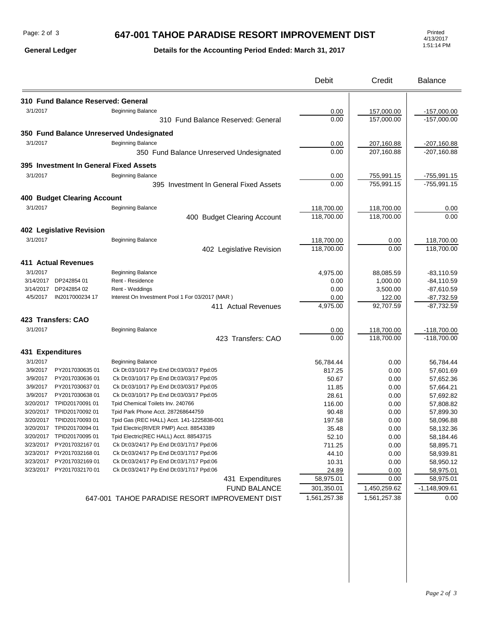## **647-001 TAHOE PARADISE RESORT IMPROVEMENT DIST**

## **Details for the Accounting Period Ended: March 31, 2017**

|                  |                                                        |                                                                                      | Debit        | Credit       | <b>Balance</b>  |
|------------------|--------------------------------------------------------|--------------------------------------------------------------------------------------|--------------|--------------|-----------------|
|                  | 310 Fund Balance Reserved: General                     |                                                                                      |              |              |                 |
| 3/1/2017         |                                                        | <b>Beginning Balance</b>                                                             | 0.00         | 157,000.00   | $-157,000.00$   |
|                  |                                                        | 310 Fund Balance Reserved: General                                                   | 0.00         | 157,000.00   | $-157,000.00$   |
|                  |                                                        |                                                                                      |              |              |                 |
|                  |                                                        | 350 Fund Balance Unreserved Undesignated                                             |              |              |                 |
| 3/1/2017         |                                                        | Beginning Balance                                                                    | 0.00         | 207,160.88   | $-207,160.88$   |
|                  |                                                        | 350 Fund Balance Unreserved Undesignated                                             | 0.00         | 207,160.88   | $-207,160.88$   |
|                  |                                                        | 395 Investment In General Fixed Assets                                               |              |              |                 |
| 3/1/2017         |                                                        | <b>Beginning Balance</b>                                                             | 0.00         | 755,991.15   | $-755,991.15$   |
|                  |                                                        | 395 Investment In General Fixed Assets                                               | 0.00         | 755,991.15   | $-755,991.15$   |
|                  |                                                        |                                                                                      |              |              |                 |
|                  | <b>400 Budget Clearing Account</b>                     |                                                                                      |              |              |                 |
| 3/1/2017         |                                                        | Beginning Balance                                                                    | 118,700.00   | 118,700.00   | 0.00            |
|                  |                                                        | 400 Budget Clearing Account                                                          | 118,700.00   | 118,700.00   | 0.00            |
|                  | 402 Legislative Revision                               |                                                                                      |              |              |                 |
| 3/1/2017         |                                                        | Beginning Balance                                                                    | 118,700.00   | 0.00         | 118,700.00      |
|                  |                                                        | 402 Legislative Revision                                                             | 118,700.00   | 0.00         | 118,700.00      |
|                  |                                                        |                                                                                      |              |              |                 |
|                  | <b>411 Actual Revenues</b>                             |                                                                                      |              |              |                 |
| 3/1/2017         |                                                        | <b>Beginning Balance</b>                                                             | 4,975.00     | 88,085.59    | $-83,110.59$    |
| 3/14/2017        | DP242854 01                                            | Rent - Residence                                                                     | 0.00         | 1,000.00     | $-84,110.59$    |
| 3/14/2017        | DP242854 02                                            | Rent - Weddings                                                                      | 0.00         | 3,500.00     | $-87,610.59$    |
| 4/5/2017         | IN2017000234 17                                        | Interest On Investment Pool 1 For 03/2017 (MAR)                                      | 0.00         | 122.00       | $-87,732.59$    |
|                  |                                                        | 411 Actual Revenues                                                                  | 4,975.00     | 92,707.59    | $-87,732.59$    |
|                  | 423 Transfers: CAO                                     |                                                                                      |              |              |                 |
| 3/1/2017         |                                                        | <b>Beginning Balance</b>                                                             | 0.00         | 118,700.00   | $-118,700.00$   |
|                  |                                                        | 423 Transfers: CAO                                                                   | 0.00         | 118,700.00   | $-118,700.00$   |
| 431 Expenditures |                                                        |                                                                                      |              |              |                 |
| 3/1/2017         |                                                        | <b>Beginning Balance</b>                                                             | 56,784.44    | 0.00         | 56,784.44       |
| 3/9/2017         | PY201703063501                                         | Ck Dt:03/10/17 Pp End Dt:03/03/17 Ppd:05                                             | 817.25       | 0.00         | 57,601.69       |
| 3/9/2017         | PY2017030636 01                                        | Ck Dt:03/10/17 Pp End Dt:03/03/17 Ppd:05                                             | 50.67        | 0.00         | 57,652.36       |
| 3/9/2017         | PY2017030637 01                                        | Ck Dt:03/10/17 Pp End Dt:03/03/17 Ppd:05                                             | 11.85        | 0.00         | 57,664.21       |
| 3/9/2017         | PY2017030638 01                                        | Ck Dt:03/10/17 Pp End Dt:03/03/17 Ppd:05                                             | 28.61        | 0.00         | 57,692.82       |
| 3/20/2017        | TPID20170091 01                                        | Tpid Chemical Toilets Inv. 240766                                                    | 116.00       | 0.00         | 57,808.82       |
| 3/20/2017        | TPID20170092 01                                        | Tpid Park Phone Acct. 287268644759                                                   | 90.48        | 0.00         | 57,899.30       |
|                  | 3/20/2017 TPID20170093 01                              | Tpid Gas (REC HALL) Acct. 141-1225838-001                                            | 197.58       | 0.00         | 58,096.88       |
|                  | 3/20/2017 TPID20170094 01                              | Tpid Electric(RIVER PMP) Acct. 88543389                                              | 35.48        | 0.00         | 58,132.36       |
|                  | 3/20/2017 TPID20170095 01                              | Tpid Electric(REC HALL) Acct. 88543715                                               | 52.10        | 0.00         | 58,184.46       |
| 3/23/2017        | PY2017032167 01                                        | Ck Dt:03/24/17 Pp End Dt:03/17/17 Ppd:06                                             | 711.25       | 0.00         | 58,895.71       |
|                  | 3/23/2017 PY2017032168 01<br>3/23/2017 PY2017032169 01 | Ck Dt:03/24/17 Pp End Dt:03/17/17 Ppd:06                                             | 44.10        | 0.00         | 58,939.81       |
|                  | 3/23/2017 PY2017032170 01                              | Ck Dt:03/24/17 Pp End Dt:03/17/17 Ppd:06<br>Ck Dt:03/24/17 Pp End Dt:03/17/17 Ppd:06 | 10.31        | 0.00         | 58,950.12       |
|                  |                                                        |                                                                                      | 24.89        | 0.00<br>0.00 | 58,975.01       |
|                  |                                                        | 431 Expenditures                                                                     | 58,975.01    |              | 58,975.01       |
|                  |                                                        | <b>FUND BALANCE</b>                                                                  | 301,350.01   | 1,450,259.62 | $-1,148,909.61$ |
|                  |                                                        | 647-001 TAHOE PARADISE RESORT IMPROVEMENT DIST                                       | 1,561,257.38 | 1,561,257.38 | 0.00            |